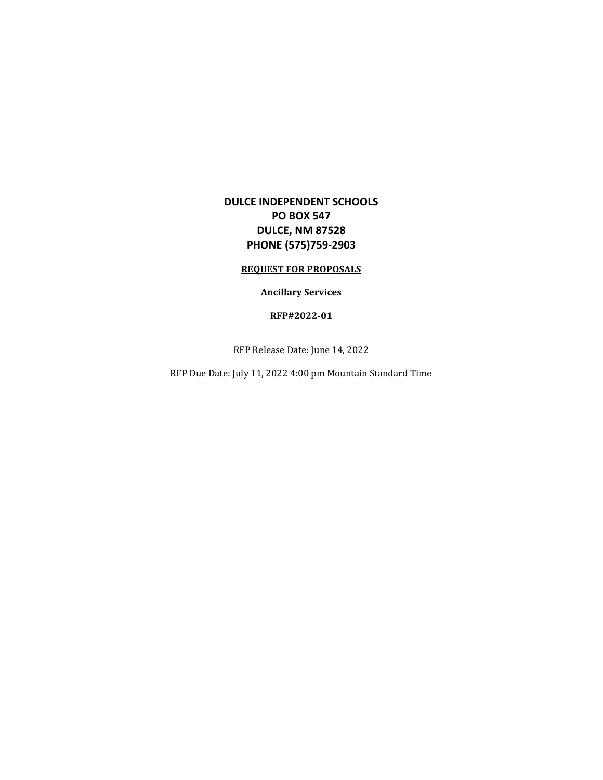# **DULCE INDEPENDENT SCHOOLS PO BOX 547 DULCE, NM 87528 PHONE (575)759-2903**

#### **REQUEST FOR PROPOSALS**

### **Ancillary Services**

#### **RFP#2022-01**

RFP Release Date: June 14, 2022

RFP Due Date: July 11, 2022 4:00 pm Mountain Standard Time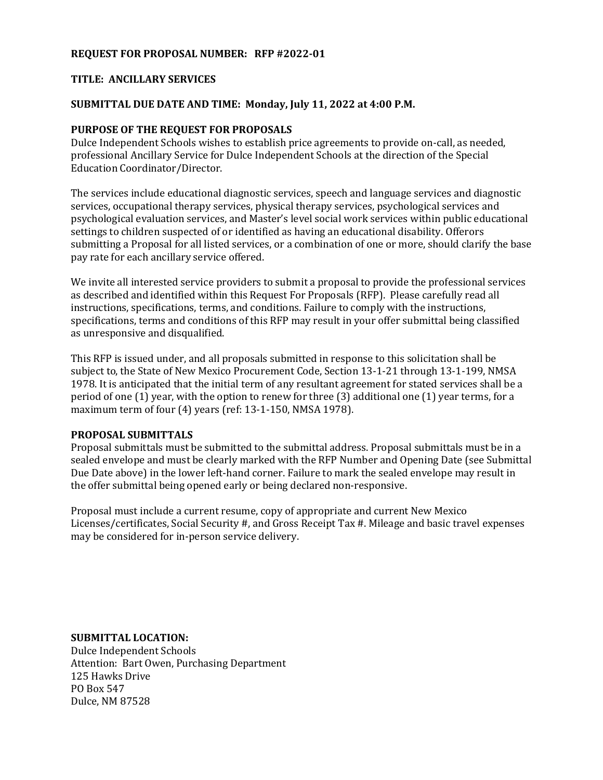### **REQUEST FOR PROPOSAL NUMBER: RFP #2022-01**

### **TITLE: ANCILLARY SERVICES**

### **SUBMITTAL DUE DATE AND TIME: Monday, July 11, 2022 at 4:00 P.M.**

### **PURPOSE OF THE REQUEST FOR PROPOSALS**

Dulce Independent Schools wishes to establish price agreements to provide on-call, as needed, professional Ancillary Service for Dulce Independent Schools at the direction of the Special Education Coordinator/Director.

The services include educational diagnostic services, speech and language services and diagnostic services, occupational therapy services, physical therapy services, psychological services and psychological evaluation services, and Master's level social work services within public educational settings to children suspected of or identified as having an educational disability. Offerors submitting a Proposal for all listed services, or a combination of one or more, should clarify the base pay rate for each ancillary service offered.

We invite all interested service providers to submit a proposal to provide the professional services as described and identified within this Request For Proposals (RFP). Please carefully read all instructions, specifications, terms, and conditions. Failure to comply with the instructions, specifications, terms and conditions of this RFP may result in your offer submittal being classified as unresponsive and disqualified.

This RFP is issued under, and all proposals submitted in response to this solicitation shall be subject to, the State of New Mexico Procurement Code, Section 13-1-21 through 13-1-199, NMSA 1978. It is anticipated that the initial term of any resultant agreement for stated services shall be a period of one (1) year, with the option to renew for three (3) additional one (1) year terms, for a maximum term of four (4) years (ref: 13-1-150, NMSA 1978).

### **PROPOSAL SUBMITTALS**

Proposal submittals must be submitted to the submittal address. Proposal submittals must be in a sealed envelope and must be clearly marked with the RFP Number and Opening Date (see Submittal Due Date above) in the lower left-hand corner. Failure to mark the sealed envelope may result in the offer submittal being opened early or being declared non-responsive.

Proposal must include a current resume, copy of appropriate and current New Mexico Licenses/certificates, Social Security #, and Gross Receipt Tax #. Mileage and basic travel expenses may be considered for in-person service delivery.

**SUBMITTAL LOCATION:**

Dulce Independent Schools Attention: Bart Owen, Purchasing Department 125 Hawks Drive PO Box 547 Dulce, NM 87528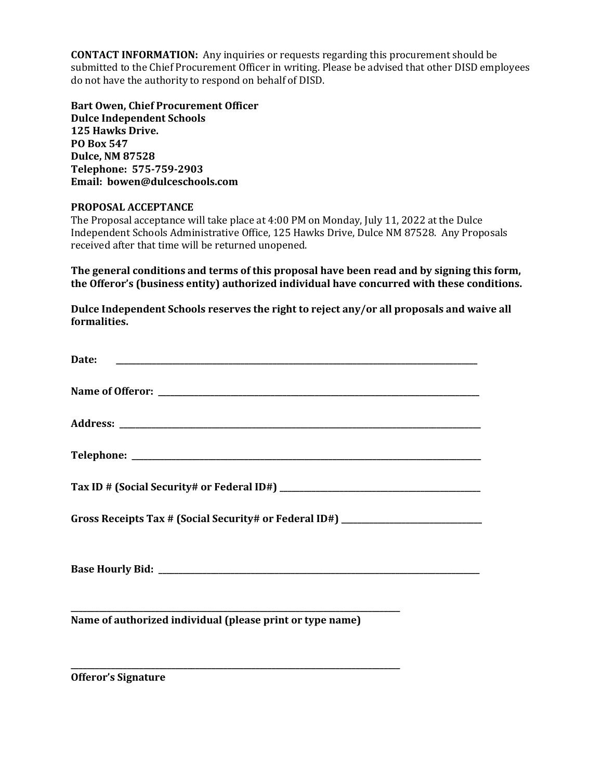**CONTACT INFORMATION:** Any inquiries or requests regarding this procurement should be submitted to the Chief Procurement Officer in writing. Please be advised that other DISD employees do not have the authority to respond on behalf of DISD.

**Bart Owen, Chief Procurement Officer Dulce Independent Schools 125 Hawks Drive. PO Box 547 Dulce, NM 87528 Telephone: 575-759-2903 Email: bowen@dulceschools.com**

### **PROPOSAL ACCEPTANCE**

The Proposal acceptance will take place at 4:00 PM on Monday, July 11, 2022 at the Dulce Independent Schools Administrative Office, 125 Hawks Drive, Dulce NM 87528. Any Proposals received after that time will be returned unopened.

**The general conditions and terms of this proposal have been read and by signing this form, the Offeror's (business entity) authorized individual have concurred with these conditions.**

**Dulce Independent Schools reserves the right to reject any/or all proposals and waive all formalities.**

| Date:                                                                            |
|----------------------------------------------------------------------------------|
|                                                                                  |
|                                                                                  |
|                                                                                  |
|                                                                                  |
| Gross Receipts Tax # (Social Security# or Federal ID#) _________________________ |
|                                                                                  |
| Name of authorized individual (please print or type name)                        |

**\_\_\_\_\_\_\_\_\_\_\_\_\_\_\_\_\_\_\_\_\_\_\_\_\_\_\_\_\_\_\_\_\_\_\_\_\_\_\_\_\_\_\_\_\_\_\_\_\_\_\_\_\_\_\_\_\_\_\_\_\_\_\_\_\_\_\_\_\_\_\_\_\_\_\_\_\_\_\_\_\_\_**

**Offeror's Signature**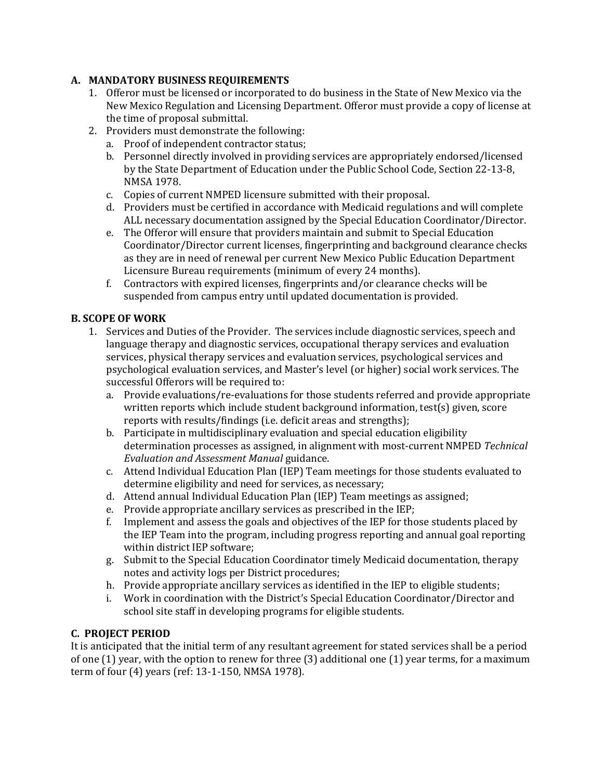## **A. MANDATORY BUSINESS REQUIREMENTS**

- 1. Offeror must be licensed or incorporated to do business in the State of New Mexico via the New Mexico Regulation and Licensing Department. Offeror must provide a copy of license at the time of proposal submittal.
- 2. Providers must demonstrate the following:
	- a. Proof of independent contractor status;
	- b. Personnel directly involved in providing services are appropriately endorsed/licensed by the State Department of Education under the Public School Code, Section 22-13-8, NMSA 1978.
	- c. Copies of current NMPED licensure submitted with their proposal.
	- d. Providers must be certified in accordance with Medicaid regulations and will complete ALL necessary documentation assigned by the Special Education Coordinator/Director.
	- e. The Offeror will ensure that providers maintain and submit to Special Education Coordinator/Director current licenses, fingerprinting and background clearance checks as they are in need of renewal per current New Mexico Public Education Department Licensure Bureau requirements (minimum of every 24 months).
	- f. Contractors with expired licenses, fingerprints and/or clearance checks will be suspended from campus entry until updated documentation is provided.

## **B. SCOPE OF WORK**

- 1. Services and Duties of the Provider. The services include diagnostic services, speech and language therapy and diagnostic services, occupational therapy services and evaluation services, physical therapy services and evaluation services, psychological services and psychological evaluation services, and Master's level (or higher) social work services. The successful Offerors will be required to:
	- a. Provide evaluations/re-evaluations for those students referred and provide appropriate written reports which include student background information, test(s) given, score reports with results/findings (i.e. deficit areas and strengths);
	- b. Participate in multidisciplinary evaluation and special education eligibility determination processes as assigned, in alignment with most-current NMPED *Technical Evaluation and Assessment Manual* guidance.
	- c. Attend Individual Education Plan (IEP) Team meetings for those students evaluated to determine eligibility and need for services, as necessary;
	- d. Attend annual Individual Education Plan (IEP) Team meetings as assigned;
	- e. Provide appropriate ancillary services as prescribed in the IEP;
	- f. Implement and assess the goals and objectives of the IEP for those students placed by the IEP Team into the program, including progress reporting and annual goal reporting within district IEP software;
	- g. Submit to the Special Education Coordinator timely Medicaid documentation, therapy notes and activity logs per District procedures;
	- h. Provide appropriate ancillary services as identified in the IEP to eligible students;
	- i. Work in coordination with the District's Special Education Coordinator/Director and school site staff in developing programs for eligible students.

# **C. PROJECT PERIOD**

It is anticipated that the initial term of any resultant agreement for stated services shall be a period of one (1) year, with the option to renew for three (3) additional one (1) year terms, for a maximum term of four (4) years (ref: 13-1-150, NMSA 1978).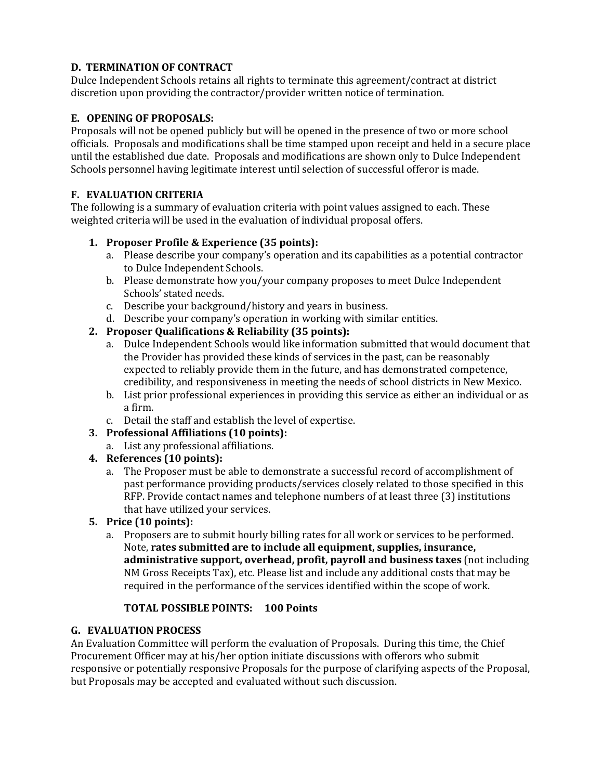# **D. TERMINATION OF CONTRACT**

Dulce Independent Schools retains all rights to terminate this agreement/contract at district discretion upon providing the contractor/provider written notice of termination.

# **E. OPENING OF PROPOSALS:**

Proposals will not be opened publicly but will be opened in the presence of two or more school officials. Proposals and modifications shall be time stamped upon receipt and held in a secure place until the established due date. Proposals and modifications are shown only to Dulce Independent Schools personnel having legitimate interest until selection of successful offeror is made.

# **F. EVALUATION CRITERIA**

The following is a summary of evaluation criteria with point values assigned to each. These weighted criteria will be used in the evaluation of individual proposal offers.

## **1. Proposer Profile & Experience (35 points):**

- a. Please describe your company's operation and its capabilities as a potential contractor to Dulce Independent Schools.
- b. Please demonstrate how you/your company proposes to meet Dulce Independent Schools' stated needs.
- c. Describe your background/history and years in business.
- d. Describe your company's operation in working with similar entities.

## **2. Proposer Qualifications & Reliability (35 points):**

- a. Dulce Independent Schools would like information submitted that would document that the Provider has provided these kinds of services in the past, can be reasonably expected to reliably provide them in the future, and has demonstrated competence, credibility, and responsiveness in meeting the needs of school districts in New Mexico.
- b. List prior professional experiences in providing this service as either an individual or as a firm.
- c. Detail the staff and establish the level of expertise.
- **3. Professional Affiliations (10 points):**
	- a. List any professional affiliations.
- **4. References (10 points):**
	- a. The Proposer must be able to demonstrate a successful record of accomplishment of past performance providing products/services closely related to those specified in this RFP. Provide contact names and telephone numbers of at least three (3) institutions that have utilized your services.
- **5. Price (10 points):**
	- a. Proposers are to submit hourly billing rates for all work or services to be performed. Note, **rates submitted are to include all equipment, supplies, insurance, administrative support, overhead, profit, payroll and business taxes** (not including NM Gross Receipts Tax), etc. Please list and include any additional costs that may be required in the performance of the services identified within the scope of work.

### **TOTAL POSSIBLE POINTS: 100 Points**

### **G. EVALUATION PROCESS**

An Evaluation Committee will perform the evaluation of Proposals. During this time, the Chief Procurement Officer may at his/her option initiate discussions with offerors who submit responsive or potentially responsive Proposals for the purpose of clarifying aspects of the Proposal, but Proposals may be accepted and evaluated without such discussion.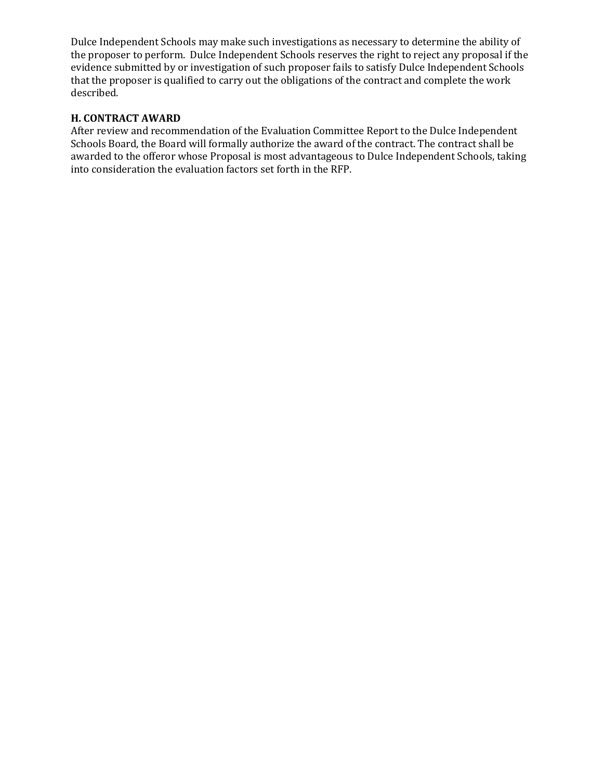Dulce Independent Schools may make such investigations as necessary to determine the ability of the proposer to perform. Dulce Independent Schools reserves the right to reject any proposal if the evidence submitted by or investigation of such proposer fails to satisfy Dulce Independent Schools that the proposer is qualified to carry out the obligations of the contract and complete the work described.

### **H. CONTRACT AWARD**

After review and recommendation of the Evaluation Committee Report to the Dulce Independent Schools Board, the Board will formally authorize the award of the contract. The contract shall be awarded to the offeror whose Proposal is most advantageous to Dulce Independent Schools, taking into consideration the evaluation factors set forth in the RFP.